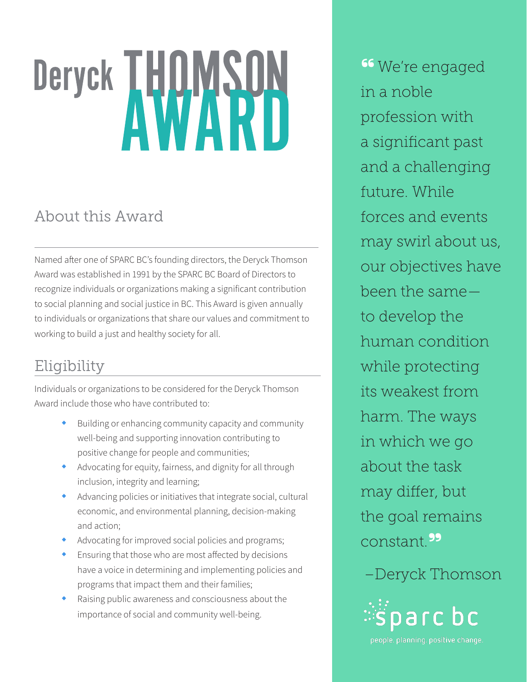# Deryck THOMSON

# About this Award

Named after one of SPARC BC's founding directors, the Deryck Thomson Award was established in 1991 by the SPARC BC Board of Directors to recognize individuals or organizations making a significant contribution to social planning and social justice in BC. This Award is given annually to individuals or organizations that share our values and commitment to working to build a just and healthy society for all.

### Eligibility

Individuals or organizations to be considered for the Deryck Thomson Award include those who have contributed to:

- Building or enhancing community capacity and community well-being and supporting innovation contributing to positive change for people and communities;
- Advocating for equity, fairness, and dignity for all through inclusion, integrity and learning;
- $\bullet$  Advancing policies or initiatives that integrate social, cultural economic, and environmental planning, decision-making and action;
- Advocating for improved social policies and programs;
- Ensuring that those who are most affected by decisions have a voice in determining and implementing policies and programs that impact them and their families;
- Raising public awareness and consciousness about the importance of social and community well-being.

<sup>66</sup> We're engaged in a noble profession with a significant past and a challenging future. While forces and events may swirl about us, our objectives have been the same to develop the human condition while protecting its weakest from harm. The ways in which we go about the task may differ, but the goal remains constant.**"**

## –Deryck Thomson



people, planning, positive change.